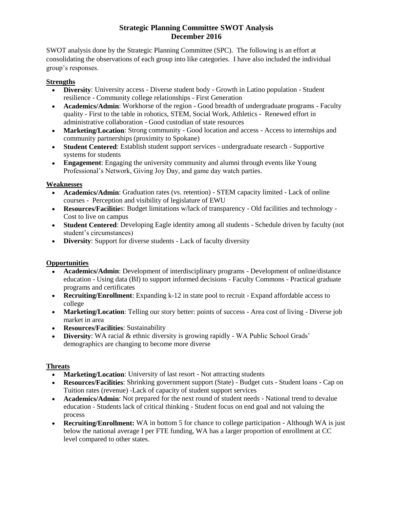# **Strategic Planning Committee SWOT Analysis December 2016**

SWOT analysis done by the Strategic Planning Committee (SPC). The following is an effort at consolidating the observations of each group into like categories. I have also included the individual group's responses.

#### **Strengths**

- **Diversity:** University access Diverse student body Growth in Latino population Student resilience - Community college relationships - First Generation
- **Academics/Admin**: Workhorse of the region Good breadth of undergraduate programs Faculty quality - First to the table in robotics, STEM, Social Work, Athletics - Renewed effort in administrative collaboration - Good custodian of state resources
- Marketing/Location: Strong community Good location and access Access to internships and community partnerships (proximity to Spokane)
- **Student Centered**: Establish student support services undergraduate research Supportive systems for students
- **Engagement**: Engaging the university community and alumni through events like Young Professional's Network, Giving Joy Day, and game day watch parties.

# **Weaknesses**

- **Academics/Admin**: Graduation rates (vs. retention) STEM capacity limited Lack of online courses - Perception and visibility of legislature of EWU
- **Resources/Facilitie**s: Budget limitations w/lack of transparency Old facilities and technology Cost to live on campus
- **Student Centered**: Developing Eagle identity among all students Schedule driven by faculty (not student's circumstances)
- **Diversity**: Support for diverse students Lack of faculty diversity

# **Opportunities**

- **Academics/Admin**: Development of interdisciplinary programs Development of online/distance education - Using data (BI) to support informed decisions - Faculty Commons - Practical graduate programs and certificates
- **Recruiting/Enrollment**: Expanding k-12 in state pool to recruit Expand affordable access to college
- Marketing/Location: Telling our story better: points of success Area cost of living Diverse job market in area
- **Resources/Facilities**: Sustainability
- **Diversity**: WA racial & ethnic diversity is growing rapidly WA Public School Grads' demographics are changing to become more diverse

#### **Threats**

- Marketing/Location: University of last resort Not attracting students
- **Resources/Facilities**: Shrinking government support (State) Budget cuts Student loans Cap on Tuition rates (revenue) -Lack of capacity of student support services
- **Academics/Admin**: Not prepared for the next round of student needs National trend to devalue education - Students lack of critical thinking - Student focus on end goal and not valuing the process
- **Recruiting/Enrollment:** WA in bottom 5 for chance to college participation Although WA is just below the national average I per FTE funding, WA has a larger proportion of enrollment at CC level compared to other states.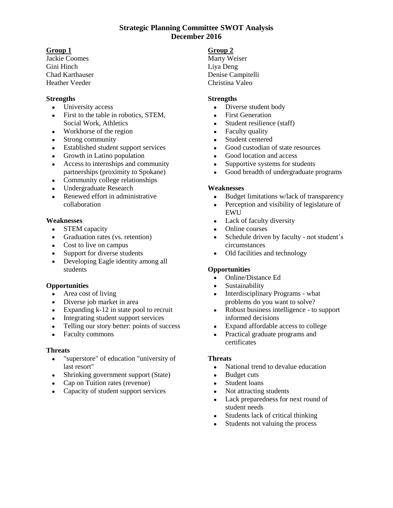### **Strategic Planning Committee SWOT Analysis December 2016**

### **Group 1**

Jackie Coomes Gini Hinch Chad Karthauser Heather Veeder

### **Strengths**

- University access
- First to the table in robotics, STEM, Social Work, Athletics
- Workhorse of the region
- Strong community
- Established student support services
- Growth in Latino population
- Access to internships and community partnerships (proximity to Spokane)
- Community college relationships
- Undergraduate Research
- Renewed effort in administrative collaboration

### **Weaknesses**

- STEM capacity
- Graduation rates (vs. retention)
- Cost to live on campus
- Support for diverse students
- Developing Eagle identity among all students

#### **Opportunities**

- Area cost of living
- Diverse job market in area
- Expanding k-12 in state pool to recruit
- Integrating student support services
- Telling our story better: points of success
- Faculty commons

#### **Threats**

- "superstore" of education "university of last resort"
- Shrinking government support (State)
- Cap on Tuition rates (revenue)
- Capacity of student support services

#### **Group 2**

Marty Weiser Liya Deng Denise Campitelli Christina Valeo

#### **Strengths**

- Diverse student body
- First Generation
- Student resilience (staff)
- Faculty quality
- Student centered
- Good custodian of state resources
- Good location and access
- Supportive systems for students
- Good breadth of undergraduate programs

#### **Weaknesses**

- Budget limitations w/lack of transparency
- Perception and visibility of legislature of EWU
- Lack of faculty diversity
- Online courses
- Schedule driven by faculty not student's circumstances
- Old facilities and technology

# **Opportunities**

- Online/Distance Ed
- Sustainability
- Interdisciplinary Programs what problems do you want to solve?
- Robust business intelligence to support informed decisions
- Expand affordable access to college
- Practical graduate programs and certificates

#### **Threats**

- National trend to devalue education
- Budget cuts
- Student loans
- Not attracting students
- Lack preparedness for next round of student needs
- Students lack of critical thinking
- Students not valuing the process